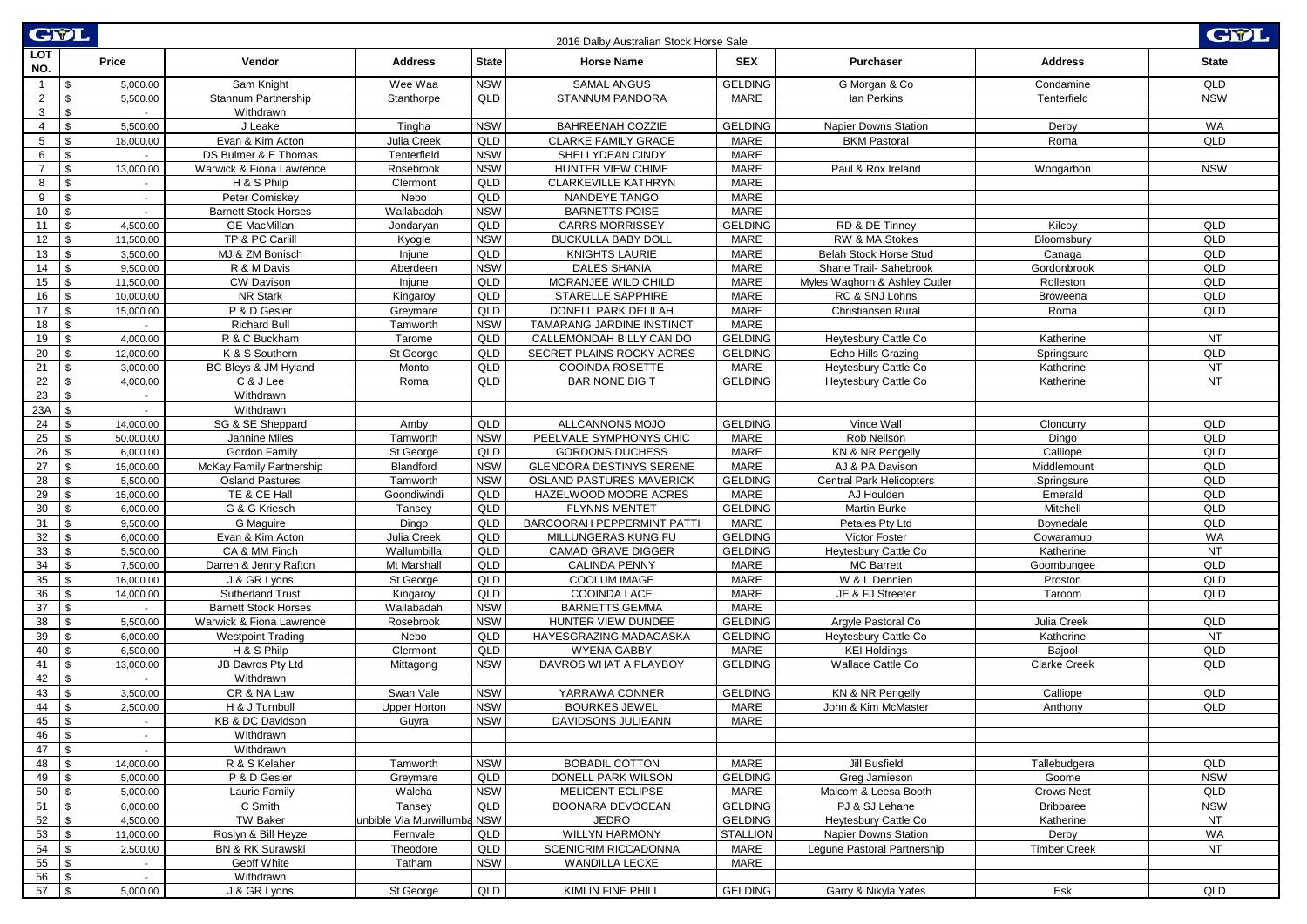| <b>GWL</b>      |                                  |                                         |                        |                   | 2016 Dalby Australian Stock Horse Sale             |                               |                                                  |                               | GWL              |
|-----------------|----------------------------------|-----------------------------------------|------------------------|-------------------|----------------------------------------------------|-------------------------------|--------------------------------------------------|-------------------------------|------------------|
| LOT<br>NO.      | Price                            | Vendor                                  | <b>Address</b>         | <b>State</b>      | <b>Horse Name</b>                                  | <b>SEX</b>                    | <b>Purchaser</b>                                 | <b>Address</b>                | <b>State</b>     |
|                 | 5,000.00<br>\$                   | Sam Knight                              | Wee Waa                | <b>NSW</b>        | <b>SAMAL ANGUS</b>                                 | <b>GELDING</b>                | G Morgan & Co                                    | Condamine                     | QLD              |
| $\overline{2}$  | 5,500.00<br>\$                   | Stannum Partnership                     | Stanthorpe             | QLD               | STANNUM PANDORA                                    | <b>MARE</b>                   | lan Perkins                                      | Tenterfield                   | <b>NSW</b>       |
| 3               | $\mathfrak{L}$<br>$\blacksquare$ | Withdrawn                               |                        |                   |                                                    |                               |                                                  |                               |                  |
| $\overline{4}$  | 5,500.00<br>$\mathfrak{L}$       | J Leake                                 | Tingha                 | <b>NSW</b>        | <b>BAHREENAH COZZIE</b>                            | <b>GELDING</b>                | Napier Downs Station                             | Derby                         | <b>WA</b>        |
| $5\overline{5}$ | 18,000.00<br>$\mathfrak{L}$      | Evan & Kim Acton                        | Julia Creek            | QLD               | <b>CLARKE FAMILY GRACE</b>                         | <b>MARE</b>                   | <b>BKM Pastoral</b>                              | Roma                          | QLD              |
| 6               | $\mathbf{s}$<br>$\sim$           | DS Bulmer & E Thomas                    | Tenterfield            | <b>NSW</b>        | SHELLYDEAN CINDY                                   | <b>MARE</b>                   |                                                  |                               |                  |
| $\overline{7}$  | $\mathbf{s}$<br>13,000.00        | Warwick & Fiona Lawrence                | Rosebrook              | <b>NSW</b>        | HUNTER VIEW CHIME                                  | <b>MARE</b>                   | Paul & Rox Ireland                               | Wongarbon                     | <b>NSW</b>       |
| 8               | \$<br>$\sim$                     | H & S Philp                             | Clermont               | QLD               | <b>CLARKEVILLE KATHRYN</b>                         | <b>MARE</b>                   |                                                  |                               |                  |
| 9               | $\mathfrak{L}$<br>$\sim$         | Peter Comiskey                          | Nebo                   | QLD               | NANDEYE TANGO                                      | MARE                          |                                                  |                               |                  |
| 10              | \$<br>$\sim$                     | <b>Barnett Stock Horses</b>             | Wallabadah             | <b>NSW</b>        | <b>BARNETTS POISE</b>                              | MARE                          |                                                  |                               |                  |
| 11              | 4,500.00                         | <b>GE MacMillan</b>                     | Jondaryan              | QLD<br><b>NSW</b> | <b>CARRS MORRISSEY</b>                             | <b>GELDING</b>                | RD & DE Tinney                                   | Kilcoy                        | QLD              |
| 12              | 11,500.00<br>\$.<br>\$.          | TP & PC Carlill                         | Kyogle                 | QLD               | <b>BUCKULLA BABY DOLL</b><br><b>KNIGHTS LAURIE</b> | <b>MARE</b><br><b>MARE</b>    | RW & MA Stokes                                   | Bloomsbury                    | QLD<br>QLD       |
| 13<br>14        | 3,500.00<br>9,500.00<br>ፍ        | MJ & ZM Bonisch<br>R & M Davis          | Injune<br>Aberdeen     | <b>NSW</b>        | <b>DALES SHANIA</b>                                | <b>MARE</b>                   | Belah Stock Horse Stud<br>Shane Trail- Sahebrook | Canaga<br>Gordonbrook         | QLD              |
| 15              | 11,500.00<br>\$                  | <b>CW Davison</b>                       | Injune                 | QLD               | MORANJEE WILD CHILD                                | <b>MARE</b>                   | Myles Waghorn & Ashley Cutler                    | Rolleston                     | QLD              |
| 16              | 10,000.00                        | NR Stark                                | Kingaroy               | QLD               | STARELLE SAPPHIRE                                  | <b>MARE</b>                   | RC & SNJ Lohns                                   | <b>Broweena</b>               | QLD              |
| 17              | 15,000.00<br>\$                  | P & D Gesler                            | Greymare               | QLD               | DONELL PARK DELILAH                                | <b>MARE</b>                   | Christiansen Rural                               | Roma                          | QLD              |
| 18              |                                  | <b>Richard Bull</b>                     | Tamworth               | <b>NSW</b>        | TAMARANG JARDINE INSTINCT                          | MARE                          |                                                  |                               |                  |
| 19              | 4,000.00                         | R & C Buckham                           | Tarome                 | QLD               | CALLEMONDAH BILLY CAN DO                           | <b>GELDING</b>                | Heytesbury Cattle Co                             | Katherine                     | <b>NT</b>        |
| 20              | 12,000.00                        | K & S Southern                          | St George              | QLD               | SECRET PLAINS ROCKY ACRES                          | <b>GELDING</b>                | Echo Hills Grazing                               | Springsure                    | QLD              |
| 21              | 3,000.00                         | BC Bleys & JM Hyland                    | Monto                  | QLD               | COOINDA ROSETTE                                    | <b>MARE</b>                   | Heytesbury Cattle Co                             | Katherine                     | <b>NT</b>        |
| 22              | 4,000.00                         | C & J Lee                               | Roma                   | QLD               | <b>BAR NONE BIG T</b>                              | <b>GELDING</b>                | Heytesbury Cattle Co                             | Katherine                     | <b>NT</b>        |
| 23              | \$<br>$\sim$                     | Withdrawn                               |                        |                   |                                                    |                               |                                                  |                               |                  |
| 23A             | \$<br>$\blacksquare$             | Withdrawn                               |                        |                   |                                                    |                               |                                                  |                               |                  |
| 24              | 14,000.00                        | SG & SE Sheppard                        | Amby                   | QLD               | ALLCANNONS MOJO                                    | <b>GELDING</b>                | Vince Wall                                       | Cloncurry                     | QLD              |
| 25              | 50,000.00<br>\$                  | Jannine Miles                           | Tamworth               | <b>NSW</b>        | PEELVALE SYMPHONYS CHIC                            | <b>MARE</b>                   | Rob Neilson                                      | Dingo                         | QLD              |
| 26              | 6,000.00<br>\$                   | Gordon Family                           | St George              | QLD               | <b>GORDONS DUCHESS</b>                             | <b>MARE</b>                   | KN & NR Pengelly                                 | Calliope                      | QLD              |
| 27              | 15,000.00<br>\$                  | McKay Family Partnership                | Blandford              | <b>NSW</b>        | <b>GLENDORA DESTINYS SERENE</b>                    | <b>MARE</b>                   | AJ & PA Davison                                  | Middlemount                   | QLD              |
| 28              | 5,500.00<br>\$                   | <b>Osland Pastures</b>                  | Tamworth               | <b>NSW</b>        | <b>OSLAND PASTURES MAVERICK</b>                    | <b>GELDING</b>                | <b>Central Park Helicopters</b>                  | Springsure                    | QLD              |
| 29              | 15,000.00<br>\$                  | TE & CE Hall                            | Goondiwindi            | QLD               | HAZELWOOD MOORE ACRES                              | MARE                          | AJ Houlden                                       | Emerald                       | QLD              |
| 30              | 6,000.00                         | G & G Kriesch                           | Tansey                 | QLD               | <b>FLYNNS MENTET</b>                               | <b>GELDING</b>                | Martin Burke                                     | Mitchell                      | QLD              |
| 31              | 9,500.00                         | G Maguire                               | Dingo                  | QLD               | BARCOORAH PEPPERMINT PATTI                         | MARE                          | Petales Pty Ltd                                  | Boynedale                     | QLD              |
| 32              | 6,000.00                         | Evan & Kim Acton                        | Julia Creek            | QLD               | MILLUNGERAS KUNG FU                                | <b>GELDING</b>                | Victor Foster                                    | Cowaramup                     | <b>WA</b>        |
| 33              | 5,500.00                         | CA & MM Finch                           | Wallumbilla            | QLD               | <b>CAMAD GRAVE DIGGER</b>                          | <b>GELDING</b>                | Heytesbury Cattle Co                             | Katherine                     | <b>NT</b>        |
| 34              | 7,500.00<br>ፍ                    | Darren & Jenny Rafton                   | Mt Marshall            | QLD               | <b>CALINDA PENNY</b>                               | <b>MARE</b>                   | <b>MC Barrett</b>                                | Goombungee                    | QLD              |
| 35              | 16,000.00<br>\$.                 | J & GR Lyons                            | St George              | QLD               | COOLUM IMAGE                                       | MARE                          | W & L Dennien                                    | Proston                       | QLD              |
| 36              | 14,000.00                        | <b>Sutherland Trust</b>                 | Kingaroy               | QLD               | COOINDA LACE                                       | <b>MARE</b>                   | JE & FJ Streeter                                 | Taroom                        | QLD              |
| 37              | ፍ                                | <b>Barnett Stock Horses</b>             | Wallabadah             | <b>NSW</b>        | <b>BARNETTS GEMMA</b>                              | <b>MARE</b>                   |                                                  |                               |                  |
| 38              | 5,500.00<br>ፍ                    | Warwick & Fiona Lawrence                | Rosebrook              | <b>NSW</b>        | HUNTER VIEW DUNDEE                                 | <b>GELDING</b>                | Argyle Pastoral Co                               | Julia Creek                   | QLD              |
| 39              | 6,000.00                         | <b>Westpoint Trading</b><br>H & S Philp | Nebo                   | QLD               | HAYESGRAZING MADAGASKA                             | <b>GELDING</b><br><b>MARE</b> | Heytesbury Cattle Co                             | Katherine                     | <b>NT</b><br>QLD |
| 40<br>41        | 6,500.00<br>\$<br>13,000.00      | JB Davros Pty Ltd                       | Clermont<br>Mittagong  | QLD<br><b>NSW</b> | <b>WYENA GABBY</b><br>DAVROS WHAT A PLAYBOY        | <b>GELDING</b>                | <b>KEI Holdings</b><br>Wallace Cattle Co         | Bajool<br><b>Clarke Creek</b> | QLD              |
| 42              |                                  | Withdrawn                               |                        |                   |                                                    |                               |                                                  |                               |                  |
| 43              | 3,500.00                         | CR & NA Law                             | Swan Vale              | <b>NSW</b>        | YARRAWA CONNER                                     | <b>GELDING</b>                | KN & NR Pengelly                                 | Calliope                      | QLD              |
| 44              | 2,500.00<br>\$                   | H & J Turnbull                          | <b>Upper Horton</b>    | <b>NSW</b>        | <b>BOURKES JEWEL</b>                               | MARE                          | John & Kim McMaster                              | Anthony                       | QLD              |
| $45 \mid$ \$    | $\sim$                           | KB & DC Davidson                        | Guyra                  | <b>NSW</b>        | DAVIDSONS JULIEANN                                 | MARE                          |                                                  |                               |                  |
| 46              | $\mathbf s$<br>$\sim$            | Withdrawn                               |                        |                   |                                                    |                               |                                                  |                               |                  |
| 47              | $\sqrt{3}$<br>$\sim$             | Withdrawn                               |                        |                   |                                                    |                               |                                                  |                               |                  |
| 48              | $\mathfrak{S}$<br>14,000.00      | R & S Kelaher                           | Tamworth               | <b>NSW</b>        | <b>BOBADIL COTTON</b>                              | MARE                          | Jill Busfield                                    | Tallebudgera                  | QLD              |
| 49              | \$<br>5,000.00                   | P & D Gesler                            | Greymare               | QLD               | <b>DONELL PARK WILSON</b>                          | <b>GELDING</b>                | Greg Jamieson                                    | Goome                         | <b>NSW</b>       |
| 50              | \$<br>5,000.00                   | Laurie Family                           | Walcha                 | <b>NSW</b>        | MELICENT ECLIPSE                                   | MARE                          | Malcom & Leesa Booth                             | <b>Crows Nest</b>             | QLD              |
| 51              | $\mathbf{s}$<br>6,000.00         | C Smith                                 | Tansey                 | QLD               | BOONARA DEVOCEAN                                   | <b>GELDING</b>                | PJ & SJ Lehane                                   | <b>Bribbaree</b>              | <b>NSW</b>       |
| 52              | \$<br>4,500.00                   | TW Baker                                | unbible Via Murwillumb | a NSW             | JEDRO                                              | GELDING                       | Heytesbury Cattle Co                             | Katherine                     | NT               |
| 53              | \$<br>11,000.00                  | Roslyn & Bill Heyze                     | Fernvale               | QLD               | <b>WILLYN HARMONY</b>                              | <b>STALLION</b>               | Napier Downs Station                             | Derby                         | WA               |
| 54              | $\mathbf{s}$<br>2,500.00         | <b>BN &amp; RK Surawski</b>             | Theodore               | QLD               | SCENICRIM RICCADONNA                               | MARE                          | Legune Pastoral Partnership                      | <b>Timber Creek</b>           | <b>NT</b>        |
| 55              | \$<br>$\sim$                     | Geoff White                             | Tatham                 | <b>NSW</b>        | <b>WANDILLA LECXE</b>                              | MARE                          |                                                  |                               |                  |
| 56              | \$<br>$\sim$                     | Withdrawn                               |                        |                   |                                                    |                               |                                                  |                               |                  |
| $57$ $\sqrt{ }$ | 5,000.00                         | J & GR Lyons                            | St George              | <b>QLD</b>        | KIMLIN FINE PHILL                                  | <b>GELDING</b>                | Garry & Nikyla Yates                             | Esk                           | QLD              |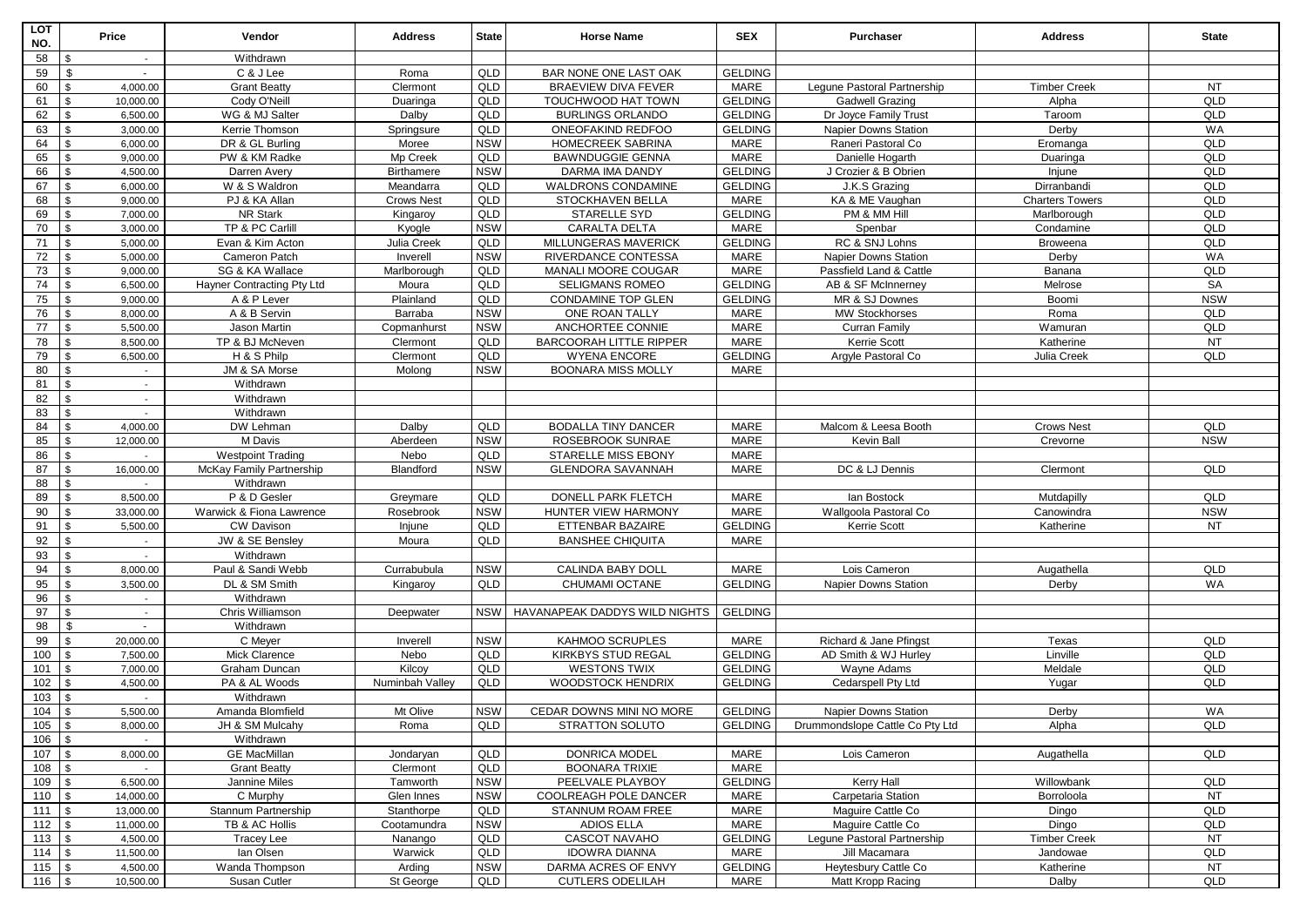| LOT<br>NO. | Price                                      | Vendor                     | <b>Address</b>    | <b>State</b> | <b>Horse Name</b>                   | <b>SEX</b>     | <b>Purchaser</b>                | <b>Address</b>         | <b>State</b> |
|------------|--------------------------------------------|----------------------------|-------------------|--------------|-------------------------------------|----------------|---------------------------------|------------------------|--------------|
| 58         | $\sim$                                     | Withdrawn                  |                   |              |                                     |                |                                 |                        |              |
| 59         | $\mathfrak{L}$<br>$\sim$                   | C & J Lee                  | Roma              | QLD          | BAR NONE ONE LAST OAK               | <b>GELDING</b> |                                 |                        |              |
| 60         | 4,000.00                                   | <b>Grant Beatty</b>        | Clermont          | QLD          | <b>BRAEVIEW DIVA FEVER</b>          | MARE           | Legune Pastoral Partnership     | Timber Creek           | <b>NT</b>    |
| 61         | 10,000.00                                  | Cody O'Neill               | Duaringa          | QLD          | TOUCHWOOD HAT TOWN                  | <b>GELDING</b> | <b>Gadwell Grazing</b>          | Alpha                  | QLD          |
| 62         | 6,500.00<br>\$                             | WG & MJ Salter             | Dalby             | QLD          | <b>BURLINGS ORLANDO</b>             | <b>GELDING</b> | Dr Joyce Family Trust           | Taroom                 | QLD          |
| 63         | 3,000.00                                   | Kerrie Thomson             | Springsure        | QLD          | ONEOFAKIND REDFOO                   | <b>GELDING</b> | <b>Napier Downs Station</b>     | Derby                  | WA           |
| 64         | 6,000.00<br>\$                             | DR & GL Burling            | Moree             | <b>NSW</b>   | <b>HOMECREEK SABRINA</b>            | MARE           | Raneri Pastoral Co              | Eromanga               | QLD          |
| 65         | 9,000.00<br>\$                             | PW & KM Radke              | Mp Creek          | QLD          | <b>BAWNDUGGIE GENNA</b>             | MARE           | Danielle Hogarth                | Duaringa               | QLD          |
| 66         | - \$<br>4,500.00                           | Darren Avery               | <b>Birthamere</b> | <b>NSW</b>   | DARMA IMA DANDY                     | <b>GELDING</b> | J Crozier & B Obrien            | Injune                 | QLD          |
| 67         | 6,000.00                                   | W & S Waldron              | Meandarra         | QLD          | WALDRONS CONDAMINE                  | <b>GELDING</b> | J.K.S Grazing                   | Dirranbandi            | QLD          |
| 68         | 9,000.00<br>- \$                           | PJ & KA Allan              | <b>Crows Nest</b> | QLD          | STOCKHAVEN BELLA                    | MARE           | KA & ME Vaughan                 | <b>Charters Towers</b> | QLD          |
| 69         | 7,000.00                                   | NR Stark                   | Kingaroy          | QLD          | STARELLE SYD                        | <b>GELDING</b> | PM & MM Hill                    | Marlborough            | QLD          |
| 70         | 3,000.00<br>$\mathfrak{p}$                 | TP & PC Carlill            | Kyogle            | <b>NSW</b>   | <b>CARALTA DELTA</b>                | MARE           | Spenbar                         | Condamine              | QLD          |
| 71         | 5,000.00<br>£                              | Evan & Kim Acton           | Julia Creek       | QLD          | MILLUNGERAS MAVERICK                | <b>GELDING</b> | RC & SNJ Lohns                  | <b>Broweena</b>        | QLD          |
| 72         | 5,000.00<br>£                              | Cameron Patch              | Inverell          | <b>NSW</b>   | RIVERDANCE CONTESSA                 | MARE           | <b>Napier Downs Station</b>     | Derby                  | WA           |
| 73         | 9,000.00                                   | SG & KA Wallace            | Marlborough       | QLD          | MANALI MOORE COUGAR                 | <b>MARE</b>    | Passfield Land & Cattle         | Banana                 | QLD          |
| 74         | 6,500.00<br>£                              | Hayner Contracting Pty Ltd | Moura             | QLD          | SELIGMANS ROMEO                     | <b>GELDING</b> | AB & SF McInnerney              | Melrose                | <b>SA</b>    |
| 75         | 9,000.00                                   | A & P Lever                | Plainland         | QLD          | <b>CONDAMINE TOP GLEN</b>           | <b>GELDING</b> | MR & SJ Downes                  | Boomi                  | <b>NSW</b>   |
| 76         | $\mathbf{R}$<br>8,000.00                   | A & B Servin               | Barraba           | <b>NSW</b>   | ONE ROAN TALLY                      | MARE           | <b>MW Stockhorses</b>           | Roma                   | QLD          |
| 77         | 5,500.00<br>$\mathcal{F}$                  | Jason Martin               | Copmanhurst       | <b>NSW</b>   | ANCHORTEE CONNIE                    | MARE           | Curran Family                   | Wamuran                | QLD          |
| 78         | 8,500.00<br>٩                              | TP & BJ McNeven            | Clermont          | QLD          | <b>BARCOORAH LITTLE RIPPER</b>      | MARE           | Kerrie Scott                    | Katherine              | <b>NT</b>    |
| 79         | 6,500.00                                   | H & S Philp                | Clermont          | QLD          | <b>WYENA ENCORE</b>                 | <b>GELDING</b> | Argyle Pastoral Co              | Julia Creek            | QLD          |
| 80         | $\mathcal{F}$                              | JM & SA Morse              | Molong            | <b>NSW</b>   | <b>BOONARA MISS MOLLY</b>           | MARE           |                                 |                        |              |
| 81         | - \$                                       | Withdrawn                  |                   |              |                                     |                |                                 |                        |              |
| 82         | $\mathcal{L}$<br>$\blacksquare$            | Withdrawn                  |                   |              |                                     |                |                                 |                        |              |
| 83         | $\mathbf{f}$                               | Withdrawn                  |                   |              |                                     |                |                                 |                        |              |
| 84         | 4,000.00                                   | DW Lehman                  | Dalby             | QLD          | <b>BODALLA TINY DANCER</b>          | MARE           | Malcom & Leesa Booth            | <b>Crows Nest</b>      | QLD          |
| 85         | 12,000.00                                  | M Davis                    | Aberdeen          | <b>NSW</b>   | ROSEBROOK SUNRAE                    | <b>MARE</b>    | <b>Kevin Ball</b>               | Crevorne               | <b>NSW</b>   |
| 86         | \$<br>$\blacksquare$                       | <b>Westpoint Trading</b>   | Nebo              | QLD          | STARELLE MISS EBONY                 | MARE           |                                 |                        |              |
| 87         | 16,000.00<br>\$                            | McKay Family Partnership   | Blandford         | <b>NSW</b>   | <b>GLENDORA SAVANNAH</b>            | MARE           | DC & LJ Dennis                  | Clermont               | QLD          |
| 88         | $\mathfrak{s}$<br>$\blacksquare$           | Withdrawn                  |                   |              |                                     |                |                                 |                        |              |
| 89         | - \$<br>8,500.00                           | P & D Gesler               | Greymare          | QLD          | DONELL PARK FLETCH                  | MARE           | lan Bostock                     | Mutdapilly             | QLD          |
| 90         | \$<br>33,000.00                            | Warwick & Fiona Lawrence   | Rosebrook         | <b>NSW</b>   | HUNTER VIEW HARMONY                 | MARE           | Wallgoola Pastoral Co           | Canowindra             | <b>NSW</b>   |
| 91         | $\mathcal{F}$<br>5,500.00                  | <b>CW Davison</b>          | Injune            | QLD          | ETTENBAR BAZAIRE                    | <b>GELDING</b> | <b>Kerrie Scott</b>             | Katherine              | <b>NT</b>    |
| 92         | \$<br>$\sim$                               | JW & SE Bensley            | Moura             | QLD          | <b>BANSHEE CHIQUITA</b>             | MARE           |                                 |                        |              |
| 93         | $\mathcal{S}$                              | Withdrawn                  |                   |              |                                     |                |                                 |                        |              |
| 94         | 8,000.00<br>\$                             | Paul & Sandi Webb          | Currabubula       | <b>NSW</b>   | CALINDA BABY DOLL                   | MARE           | Lois Cameron                    | Augathella             | QLD          |
| 95         | ፍ<br>3,500.00                              | DL & SM Smith              | Kingaroy          | <b>QLD</b>   | CHUMAMI OCTANE                      | <b>GELDING</b> | <b>Napier Downs Station</b>     | Derby                  | <b>WA</b>    |
| 96         | $\mathfrak{s}$<br>$\overline{\phantom{a}}$ | Withdrawn                  |                   |              |                                     |                |                                 |                        |              |
| 97         | $\mathcal{R}$<br>$\blacksquare$            | Chris Williamson           | Deepwater         |              | NSW   HAVANAPEAK DADDYS WILD NIGHTS | <b>GELDING</b> |                                 |                        |              |
| 98         | $\mathfrak{L}$                             | Withdrawn                  |                   |              |                                     |                |                                 |                        |              |
| 99         | 20,000.00                                  | C Meyer                    | Inverell          | <b>NSW</b>   | KAHMOO SCRUPLES                     | MARE           | Richard & Jane Pfingst          | Texas                  | QLD          |
| 100        | 7,500.00                                   | Mick Clarence              | Nebo              | QLD          | KIRKBYS STUD REGAL                  | <b>GELDING</b> | AD Smith & WJ Hurley            | Linville               | QLD          |
| 101        | 7,000.00                                   | Graham Duncan              | Kilcoy            | QLD          | <b>WESTONS TWIX</b>                 | <b>GELDING</b> | Wayne Adams                     | Meldale                | QLD          |
| 102        | 4,500.00<br>- \$                           | PA & AL Woods              | Numinbah Valley   | QLD          | WOODSTOCK HENDRIX                   | <b>GELDING</b> | Cedarspell Pty Ltd              | Yugar                  | QLD          |
| 103        | <b>S</b><br>$\sim$                         | Withdrawn                  |                   |              |                                     |                |                                 |                        |              |
| 104        | <b>S</b><br>5,500.00                       | Amanda Blomfield           | Mt Olive          | <b>NSW</b>   | CEDAR DOWNS MINI NO MORE            | <b>GELDING</b> | <b>Napier Downs Station</b>     | Derby                  | <b>WA</b>    |
| $105 - $$  | 8,000.00                                   | JH & SM Mulcahy            | Roma              | QLD          | STRATTON SOLUTO                     | <b>GELDING</b> | Drummondslope Cattle Co Pty Ltd | Alpha                  | QLD          |
| $106 - $$  | $\sim$                                     | Withdrawn                  |                   |              |                                     |                |                                 |                        |              |
| 107        | 8,000.00<br>l \$                           | <b>GE MacMillan</b>        | Jondaryan         | QLD          | <b>DONRICA MODEL</b>                | MARE           | Lois Cameron                    | Augathella             | QLD          |
| 108 \$     | $\sim$                                     | <b>Grant Beatty</b>        | Clermont          | QLD          | <b>BOONARA TRIXIE</b>               | MARE           |                                 |                        |              |
| 109        | 6,500.00<br>l \$                           | Jannine Miles              | Tamworth          | <b>NSW</b>   | PEELVALE PLAYBOY                    | <b>GELDING</b> | Kerry Hall                      | Willowbank             | QLD          |
| 110        | l \$<br>14,000.00                          | C Murphy                   | Glen Innes        | <b>NSW</b>   | COOLREAGH POLE DANCER               | MARE           | Carpetaria Station              | Borroloola             | <b>NT</b>    |
| 111        | 13,000.00<br><b>S</b>                      | Stannum Partnership        | Stanthorpe        | QLD          | STANNUM ROAM FREE                   | MARE           | Maguire Cattle Co               | Dingo                  | QLD          |
| 112        | l \$<br>11,000.00                          | TB & AC Hollis             | Cootamundra       | <b>NSW</b>   | ADIOS ELLA                          | MARE           | Maquire Cattle Co               | Dingo                  | QLD          |
| 113        | 4,500.00                                   | <b>Tracey Lee</b>          | Nanango           | QLD          | <b>CASCOT NAVAHO</b>                | <b>GELDING</b> | Lequne Pastoral Partnership     | <b>Timber Creek</b>    | <b>NT</b>    |
| 114        | 11,500.00<br>l \$                          | lan Olsen                  | Warwick           | QLD          | <b>IDOWRA DIANNA</b>                | MARE           | Jill Macamara                   | Jandowae               | QLD          |
| 115        | 4,500.00<br>l \$                           | Wanda Thompson             | Arding            | <b>NSW</b>   | DARMA ACRES OF ENVY                 | <b>GELDING</b> | Heytesbury Cattle Co            | Katherine              | <b>NT</b>    |
| $116$ \$   | 10,500.00                                  | Susan Cutler               | St George         | QLD          | <b>CUTLERS ODELILAH</b>             | MARE           | Matt Kropp Racing               | Dalby                  | QLD          |
|            |                                            |                            |                   |              |                                     |                |                                 |                        |              |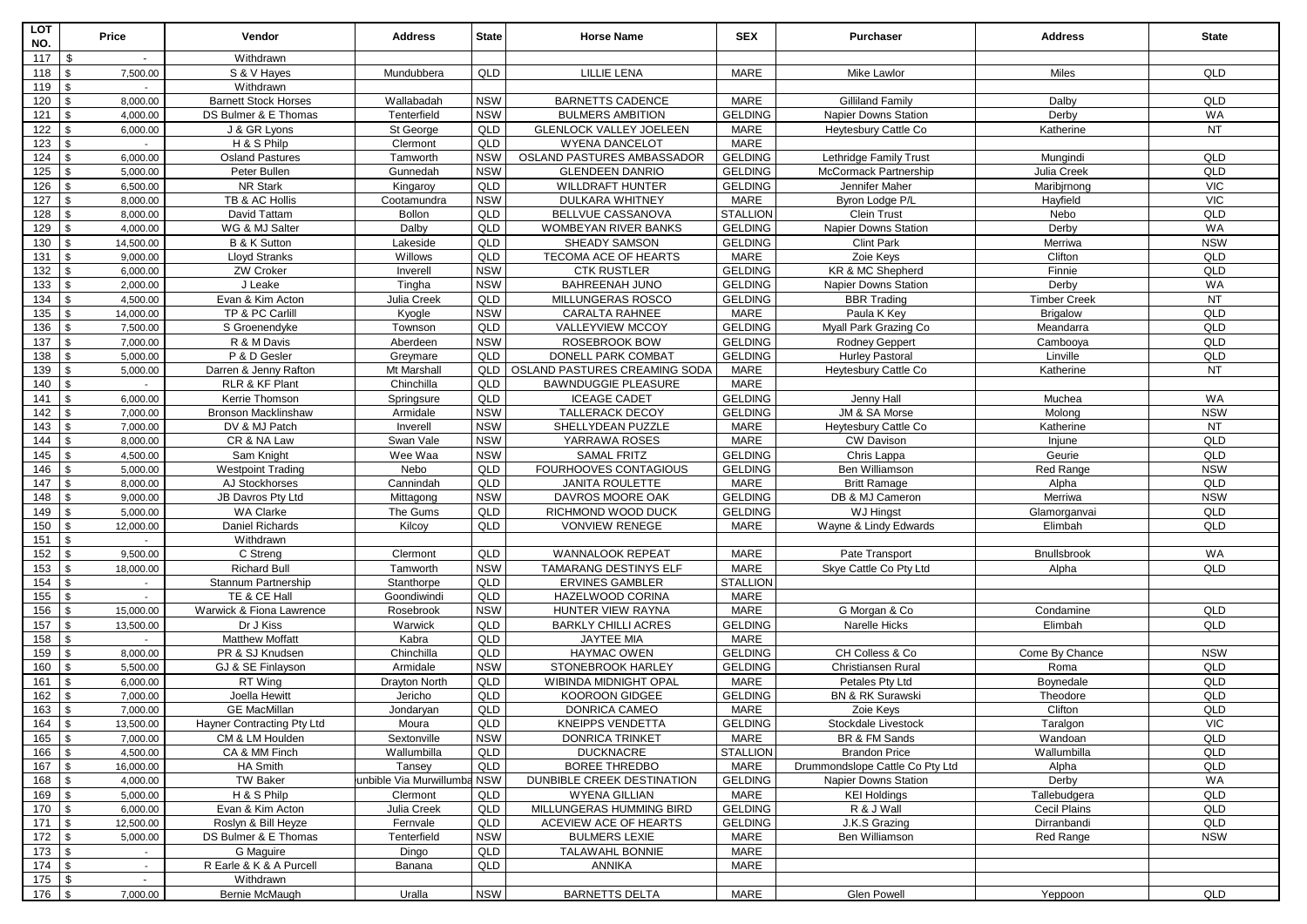| <b>LOT</b><br>NO. | Price                      | Vendor                                    | <b>Address</b>         | <b>State</b> | <b>Horse Name</b>                                   | <b>SEX</b>             | <b>Purchaser</b>                                       | <b>Address</b>          | <b>State</b> |
|-------------------|----------------------------|-------------------------------------------|------------------------|--------------|-----------------------------------------------------|------------------------|--------------------------------------------------------|-------------------------|--------------|
| 117               | \$                         | Withdrawn                                 |                        |              |                                                     |                        |                                                        |                         |              |
| 118               | 7,500.00<br>\$             | S & V Haves                               | Mundubbera             | QLD          | <b>LILLIE LENA</b>                                  | <b>MARE</b>            | Mike Lawlor                                            | <b>Miles</b>            | QLD          |
| 119               | $\mathcal{F}$<br>$\sim$    | Withdrawn                                 |                        |              |                                                     |                        |                                                        |                         |              |
| 120               | 8,000.00                   | <b>Barnett Stock Horses</b>               | Wallabadah             | <b>NSW</b>   | <b>BARNETTS CADENCE</b>                             | MARE                   | <b>Gilliland Family</b>                                | Dalby                   | QLD          |
| 121               | 4,000.00                   | DS Bulmer & E Thomas                      | Tenterfield            | <b>NSW</b>   | <b>BULMERS AMBITION</b>                             | <b>GELDING</b>         | <b>Napier Downs Station</b>                            | Derby                   | WA           |
| 122               | 6,000.00                   | J & GR Lyons                              | St George              | QLD<br>QLD   | <b>GLENLOCK VALLEY JOELEEN</b>                      | MARE<br><b>MARE</b>    | Heytesbury Cattle Co                                   | Katherine               | <b>NT</b>    |
| 123               | 6,000.00                   | H & S Philp<br><b>Osland Pastures</b>     | Clermont               | <b>NSW</b>   | <b>WYENA DANCELOT</b><br>OSLAND PASTURES AMBASSADOR | <b>GELDING</b>         |                                                        |                         | QLD          |
| 124<br>125        | 5,000.00<br>ፍ              | Peter Bullen                              | Tamworth<br>Gunnedah   | <b>NSW</b>   | <b>GLENDEEN DANRIO</b>                              | <b>GELDING</b>         | Lethridge Family Trust<br><b>McCormack Partnership</b> | Mungindi<br>Julia Creek | QLD          |
| 126               | 6,500.00                   | <b>NR Stark</b>                           | Kingaroy               | QLD          | <b>WILLDRAFT HUNTER</b>                             | <b>GELDING</b>         | Jennifer Maher                                         | Maribirnong             | <b>VIC</b>   |
| 127               | 8,000.00                   | TB & AC Hollis                            | Cootamundra            | <b>NSW</b>   | <b>DULKARA WHITNEY</b>                              | MARE                   | Byron Lodge P/L                                        | Hayfield                | <b>VIC</b>   |
| 128               | 8,000.00                   | David Tattam                              | Bollon                 | QLD          | BELLVUE CASSANOVA                                   | <b>STALLION</b>        | <b>Clein Trust</b>                                     | Nebo                    | QLD          |
| 129               | 4,000.00                   | WG & MJ Salter                            | Dalby                  | QLD          | WOMBEYAN RIVER BANKS                                | <b>GELDING</b>         | <b>Napier Downs Station</b>                            | Derby                   | <b>WA</b>    |
| 130               | 14,500.00                  | B & K Sutton                              | Lakeside               | QLD          | SHEADY SAMSON                                       | <b>GELDING</b>         | <b>Clint Park</b>                                      | Merriwa                 | <b>NSW</b>   |
| 131               | 9,000.00                   | Lloyd Stranks                             | Willows                | QLD          | TECOMA ACE OF HEARTS                                | MARE                   | Zoie Keys                                              | Clifton                 | QLD          |
| 132               | 6,000.00                   | ZW Croker                                 | Inverell               | <b>NSW</b>   | <b>CTK RUSTLER</b>                                  | <b>GELDING</b>         | KR & MC Shepherd                                       | Finnie                  | QLD          |
| 133               | 2,000.00                   | J Leake                                   | Tingha                 | <b>NSW</b>   | BAHREENAH JUNO                                      | <b>GELDING</b>         | Napier Downs Station                                   | Derby                   | WA           |
| 134               | 4,500.00<br>\$             | Evan & Kim Acton                          | Julia Creek            | QLD          | MILLUNGERAS ROSCO                                   | <b>GELDING</b>         | <b>BBR Trading</b>                                     | <b>Timber Creek</b>     | <b>NT</b>    |
| 135               | 14,000.00                  | TP & PC Carlill                           | Kyogle                 | <b>NSW</b>   | <b>CARALTA RAHNEE</b>                               | MARE                   | Paula K Key                                            | <b>Brigalow</b>         | QLD          |
| 136               | 7,500.00<br>\$             | S Groenendyke                             | Townson                | QLD          | <b>VALLEYVIEW MCCOY</b>                             | <b>GELDING</b>         | Myall Park Grazing Co                                  | Meandarra               | QLD          |
| 137               | 7,000.00<br>\$             | R & M Davis                               | Aberdeen               | <b>NSW</b>   | ROSEBROOK BOW                                       | <b>GELDING</b>         | <b>Rodney Geppert</b>                                  | Cambooya                | QLD          |
| 138               | 5,000.00<br>£.             | P & D Gesler                              | Greymare               | QLD          | DONELL PARK COMBAT                                  | <b>GELDING</b>         | <b>Hurley Pastoral</b>                                 | Linville                | QLD          |
| 139               | 5,000.00<br>ፍ              | Darren & Jenny Rafton                     | Mt Marshall            | QLD          | OSLAND PASTURES CREAMING SODA                       | MARE                   | Heytesbury Cattle Co                                   | Katherine               | <b>NT</b>    |
| 140               | \$<br>$\sim$               | <b>RLR &amp; KF Plant</b>                 | Chinchilla             | QLD          | <b>BAWNDUGGIE PLEASURE</b>                          | MARE                   |                                                        |                         |              |
| 141               | 6,000.00                   | Kerrie Thomson                            | Springsure             | QLD          | <b>ICEAGE CADET</b>                                 | <b>GELDING</b>         | Jenny Hall                                             | Muchea                  | WA           |
| 142               | 7,000.00                   | <b>Bronson Macklinshaw</b>                | Armidale               | <b>NSW</b>   | <b>TALLERACK DECOY</b>                              | <b>GELDING</b>         | JM & SA Morse                                          | Molong                  | <b>NSW</b>   |
| 143               | 7,000.00                   | DV & MJ Patch                             | Inverell               | <b>NSW</b>   | SHELLYDEAN PUZZLE                                   | MARE                   | Heytesbury Cattle Co                                   | Katherine               | <b>NT</b>    |
| 144               | 8,000.00                   | CR & NA Law                               | Swan Vale              | <b>NSW</b>   | YARRAWA ROSES                                       | MARE                   | CW Davison                                             | Injune                  | QLD          |
| 145               | 4,500.00                   | Sam Knight                                | Wee Waa                | <b>NSW</b>   | <b>SAMAL FRITZ</b>                                  | <b>GELDING</b>         | Chris Lappa                                            | Geurie                  | QLD          |
| 146               | 5,000.00                   | <b>Westpoint Trading</b>                  | Nebo                   | QLD          | FOURHOOVES CONTAGIOUS                               | <b>GELDING</b>         | Ben Williamson                                         | Red Range               | <b>NSW</b>   |
| 147               | 8,000.00                   | AJ Stockhorses                            | Cannindah              | QLD          | <b>JANITA ROULETTE</b>                              | MARE                   | <b>Britt Ramage</b>                                    | Alpha                   | QLD          |
| 148               | \$<br>9,000.00             | JB Davros Pty Ltd                         | Mittagong              | <b>NSW</b>   | DAVROS MOORE OAK                                    | <b>GELDING</b>         | DB & MJ Cameron                                        | Merriwa                 | <b>NSW</b>   |
| 149               | 5,000.00                   | <b>WA Clarke</b>                          | The Gums               | QLD          | RICHMOND WOOD DUCK                                  | <b>GELDING</b>         | <b>WJ Hingst</b>                                       | Glamorganvai            | QLD          |
| 150               | 12,000.00                  | Daniel Richards                           | Kilcoy                 | QLD          | <b>VONVIEW RENEGE</b>                               | MARE                   | Wayne & Lindy Edwards                                  | Elimbah                 | QLD          |
| 151               |                            | Withdrawn                                 |                        |              |                                                     |                        |                                                        |                         |              |
| 152               | 9,500.00                   | C Streng                                  | Clermont               | QLD          | <b>WANNALOOK REPEAT</b>                             | MARE                   | Pate Transport                                         | <b>Bnullsbrook</b>      | WA           |
| 153               | 18,000.00                  | <b>Richard Bull</b>                       | Tamworth               | <b>NSW</b>   | TAMARANG DESTINYS ELF                               | MARE                   | Skye Cattle Co Pty Ltd                                 | Alpha                   | QLD          |
| 154               | \$<br>$\sim$               | Stannum Partnership                       | Stanthorpe             | QLD          | <b>ERVINES GAMBLER</b>                              | <b>STALLION</b>        |                                                        |                         |              |
| 155               | $\sim$                     | TE & CE Hall                              | Goondiwindi            | QLD          | HAZELWOOD CORINA                                    | MARE                   |                                                        |                         |              |
| 156               | 15,000.00                  | Warwick & Fiona Lawrence                  | Rosebrook              | <b>NSW</b>   | HUNTER VIEW RAYNA                                   | MARE                   | G Morgan & Co                                          | Condamine               | QLD          |
| 157<br>158        | 13,500.00<br>\$            | Dr J Kiss                                 | Warwick                | QLD<br>QLD   | <b>BARKLY CHILLI ACRES</b><br><b>JAYTEE MIA</b>     | <b>GELDING</b><br>MARE | Narelle Hicks                                          | Elimbah                 | QLD          |
| 159               | $\sim$<br>\$               | <b>Matthew Moffatt</b><br>PR & SJ Knudsen | Kabra<br>Chinchilla    | QLD          | <b>HAYMAC OWEN</b>                                  | <b>GELDING</b>         | CH Colless & Co                                        | Come By Chance          | <b>NSW</b>   |
| 160               | 8,000.00<br>\$<br>5,500.00 | GJ & SE Finlayson                         | Armidale               | <b>NSW</b>   | <b>STONEBROOK HARLEY</b>                            | <b>GELDING</b>         | Christiansen Rural                                     | Roma                    | QLD          |
| 161               | \$<br>6,000.00             | RT Wing                                   | Drayton North          | QLD          | <b>WIBINDA MIDNIGHT OPAL</b>                        | MARE                   | Petales Ptv Ltd                                        | Boynedale               | QLD          |
| 162               | 7,000.00<br>\$             | Joella Hewitt                             | Jericho                | QLD          | KOOROON GIDGEE                                      | <b>GELDING</b>         | <b>BN &amp; RK Surawski</b>                            | Theodore                | QLD          |
| 163               | \$<br>7,000.00             | <b>GE MacMillan</b>                       | Jondaryan              | QLD          | DONRICA CAMEO                                       | MARE                   | Zoie Keys                                              | Clifton                 | QLD          |
| 164 \$            | 13,500.00                  | Hayner Contracting Pty Ltd                | Moura                  | QLD          | KNEIPPS VENDETTA                                    | <b>GELDING</b>         | Stockdale Livestock                                    | Taralgon                | <b>VIC</b>   |
| 165               | $\mathbf{s}$<br>7,000.00   | CM & LM Houlden                           | Sextonville            | <b>NSW</b>   | <b>DONRICA TRINKET</b>                              | MARE                   | BR & FM Sands                                          | Wandoan                 | QLD          |
| 166               | \$<br>4,500.00             | CA & MM Finch                             | Wallumbilla            | QLD          | <b>DUCKNACRE</b>                                    | <b>STALLION</b>        | <b>Brandon Price</b>                                   | Wallumbilla             | QLD          |
| 167               | \$<br>16,000.00            | HA Smith                                  | Tansey                 | QLD          | <b>BOREE THREDBO</b>                                | MARE                   | Drummondslope Cattle Co Pty Ltd                        | Alpha                   | QLD          |
| 168               | 4,000.00                   | TW Baker                                  | unbible Via Murwillumb | NSW          | DUNBIBLE CREEK DESTINATION                          | <b>GELDING</b>         | Napier Downs Station                                   | Derby                   | WA           |
| 169               | 5,000.00<br>\$             | H & S Philp                               | Clermont               | QLD          | <b>WYENA GILLIAN</b>                                | MARE                   | <b>KEI Holdings</b>                                    | Tallebudgera            | QLD          |
| 170               | 6,000.00                   | Evan & Kim Acton                          | Julia Creek            | QLD          | MILLUNGERAS HUMMING BIRD                            | <b>GELDING</b>         | R & J Wall                                             | Cecil Plains            | QLD          |
| 171               | 12,500.00<br>\$            | Roslyn & Bill Heyze                       | Fernvale               | QLD          | ACEVIEW ACE OF HEARTS                               | <b>GELDING</b>         | J.K.S Grazing                                          | Dirranbandi             | QLD          |
| 172               | 5,000.00<br>\$             | DS Bulmer & E Thomas                      | Tenterfield            | <b>NSW</b>   | <b>BULMERS LEXIE</b>                                | MARE                   | Ben Williamson                                         | Red Range               | <b>NSW</b>   |
| 173               | $\mathbf{\$}$              | G Maguire                                 | Dingo                  | QLD          | <b>TALAWAHL BONNIE</b>                              | MARE                   |                                                        |                         |              |
| 174               | $\mathfrak{L}$<br>$\sim$   | R Earle & K & A Purcell                   | Banana                 | QLD          | ANNIKA                                              | MARE                   |                                                        |                         |              |
| 175 \$            |                            | Withdrawn                                 |                        |              |                                                     |                        |                                                        |                         |              |
| 176 \$            | 7,000.00                   | Bernie McMaugh                            | Uralla                 | <b>NSW</b>   | <b>BARNETTS DELTA</b>                               | MARE                   | Glen Powell                                            | Yeppoon                 | QLD          |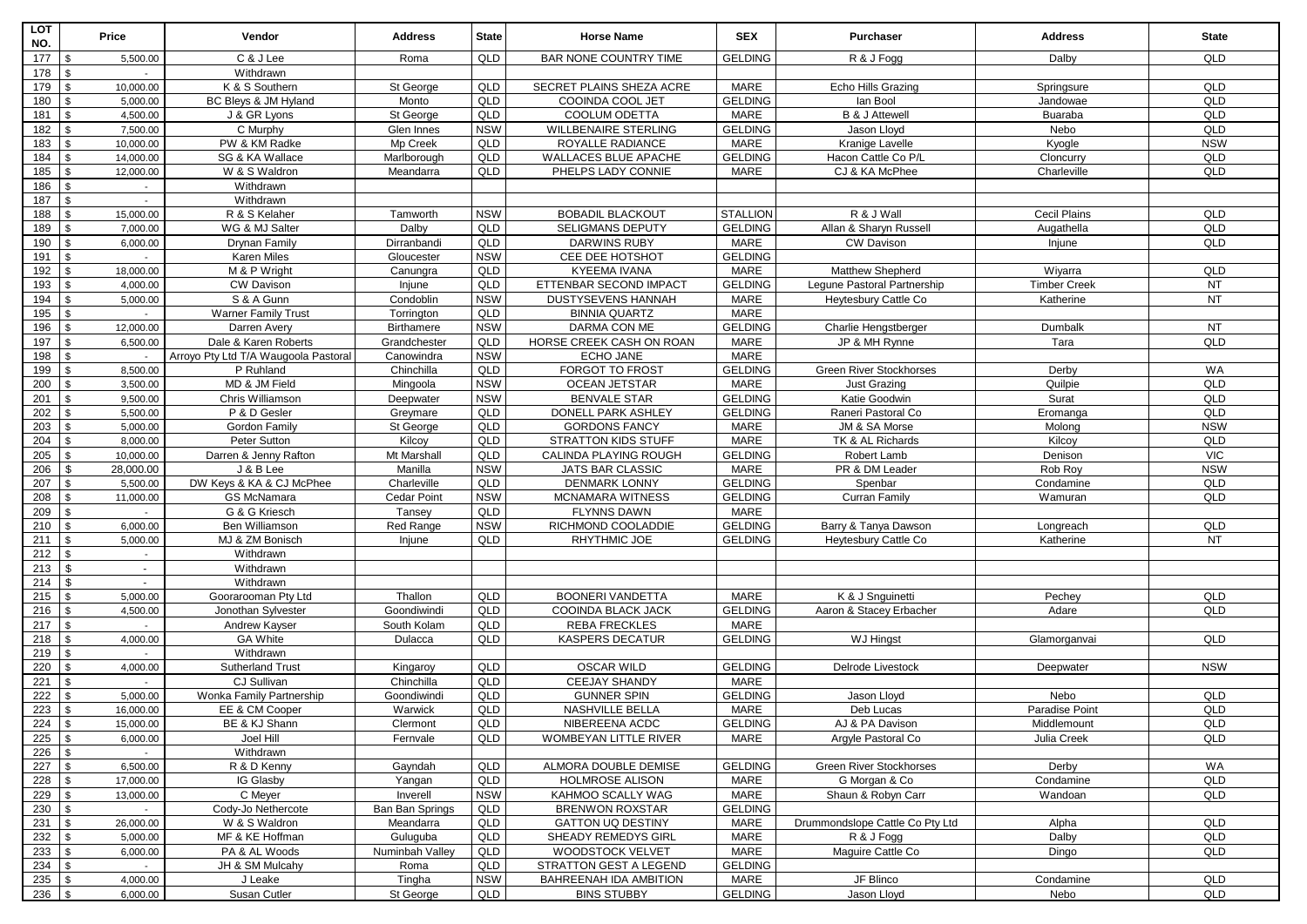| $\overline{LOT}$<br>NO. | Price                           | Vendor                               | <b>Address</b>        | <b>State</b>      | <b>Horse Name</b>                       | <b>SEX</b>             | <b>Purchaser</b>                    | <b>Address</b>             | <b>State</b> |
|-------------------------|---------------------------------|--------------------------------------|-----------------------|-------------------|-----------------------------------------|------------------------|-------------------------------------|----------------------------|--------------|
| 177                     | 5,500.00<br>\$                  | C & J Lee                            | Roma                  | <b>QLD</b>        | BAR NONE COUNTRY TIME                   | <b>GELDING</b>         | R & J Fogg                          | Dalby                      | QLD          |
| 178                     | - \$<br>$\sim$                  | Withdrawn                            |                       |                   |                                         |                        |                                     |                            |              |
| 179                     | - \$<br>10,000.00               | K & S Southern                       | St George             | QLD               | SECRET PLAINS SHEZA ACRE                | MARE                   | Echo Hills Grazing                  | Springsure                 | QLD          |
| 180                     | 5,000.00                        | BC Bleys & JM Hyland                 | Monto                 | QLD               | COOINDA COOL JET                        | <b>GELDING</b>         | lan Bool                            | Jandowae                   | QLD          |
| 181                     | 4,500.00<br>- \$                | J & GR Lyons                         | St George             | QLD               | COOLUM ODETTA                           | MARE                   | <b>B &amp; J Attewell</b>           | Buaraba                    | QLD          |
| 182                     | 7,500.00                        | C Murphy                             | Glen Innes            | <b>NSW</b>        | <b>WILLBENAIRE STERLING</b>             | <b>GELDING</b>         | Jason Lloyd                         | Nebo                       | QLD          |
| 183                     | 10,000.00<br>£.                 | PW & KM Radke                        | Mp Creek              | QLD               | ROYALLE RADIANCE                        | MARE                   | Kranige Lavelle                     | Kyogle                     | <b>NSW</b>   |
| 184                     | 14,000.00<br>\$                 | SG & KA Wallace                      | Marlborough           | QLD               | WALLACES BLUE APACHE                    | <b>GELDING</b>         | Hacon Cattle Co P/L                 | Cloncurry                  | QLD          |
| 185                     | 12,000.00<br>- \$               | W & S Waldron                        | Meandarra             | QLD               | PHELPS LADY CONNIE                      | MARE                   | CJ & KA McPhee                      | Charleville                | QLD          |
| 186                     | £.<br>$\sim$                    | Withdrawn                            |                       |                   |                                         |                        |                                     |                            |              |
| 187                     | \$                              | Withdrawn                            |                       |                   |                                         |                        |                                     |                            |              |
| 188                     | 15,000.00                       | R & S Kelaher                        | Tamworth              | <b>NSW</b>        | <b>BOBADIL BLACKOUT</b>                 | <b>STALLION</b>        | R & J Wall                          | <b>Cecil Plains</b>        | QLD          |
| 189                     | 7,000.00                        | WG & MJ Salter                       | Dalby                 | QLD               | <b>SELIGMANS DEPUTY</b>                 | <b>GELDING</b>         | Allan & Sharvn Russell              | Augathella                 | QLD          |
| 190                     | 6,000.00                        | Drynan Family                        | Dirranbandi           | QLD               | <b>DARWINS RUBY</b>                     | MARE                   | <b>CW Davison</b>                   | Injune                     | QLD          |
| 191                     | $\mathcal{S}$                   | <b>Karen Miles</b>                   | Gloucester            | <b>NSW</b>        | CEE DEE HOTSHOT                         | <b>GELDING</b>         |                                     |                            |              |
| 192                     | $\mathcal{R}$<br>18,000.00      | M & P Wright                         | Canungra              | QLD               | <b>KYEEMA IVANA</b>                     | MARE                   | Matthew Shepherd                    | Wiyarra                    | QLD          |
| 193                     | $\mathcal{S}$<br>4,000.00       | <b>CW Davison</b>                    | Injune                | QLD               | ETTENBAR SECOND IMPACT                  | <b>GELDING</b>         | Legune Pastoral Partnership         | <b>Timber Creek</b>        | <b>NT</b>    |
| 194                     | Ŝ.<br>5,000.00                  | S & A Gunn                           | Condoblin             | <b>NSW</b>        | <b>DUSTYSEVENS HANNAH</b>               | MARE                   | Heytesbury Cattle Co                | Katherine                  | <b>NT</b>    |
| 195                     |                                 | <b>Warner Family Trust</b>           | Torrington            | QLD               | <b>BINNIA QUARTZ</b>                    | MARE                   |                                     |                            |              |
| 196                     | \$<br>12,000.00                 | Darren Avery                         | <b>Birthamere</b>     | <b>NSW</b>        | DARMA CON ME                            | <b>GELDING</b>         | Charlie Hengstberger                | Dumbalk                    | <b>NT</b>    |
| 197                     | $\mathbf{s}$<br>6,500.00        | Dale & Karen Roberts                 | Grandchester          | QLD               | HORSE CREEK CASH ON ROAN                | MARE                   | JP & MH Rynne                       | Tara                       | QLD          |
| 198                     | - \$<br>$\sim$                  | Arroyo Pty Ltd T/A Waugoola Pastoral | Canowindra            | <b>NSW</b>        | <b>ECHO JANE</b>                        | MARE                   |                                     |                            |              |
| 199                     | 8,500.00<br>\$                  | P Ruhland                            | Chinchilla            | QLD               | <b>FORGOT TO FROST</b>                  | <b>GELDING</b>         | <b>Green River Stockhorses</b>      | Derby                      | WA           |
| 200                     | <b>\$</b><br>3,500.00           | MD & JM Field                        | Mingoola              | <b>NSW</b>        | <b>OCEAN JETSTAR</b>                    | MARE                   | Just Grazing                        | Quilpie                    | QLD          |
| 201                     | 9,500.00                        | Chris Williamson                     | Deepwater             | <b>NSW</b>        | <b>BENVALE STAR</b>                     | <b>GELDING</b>         | Katie Goodwin                       | Surat                      | QLD          |
| 202                     | 5,500.00<br>- \$                | P & D Gesler                         | Greymare              | QLD               | DONELL PARK ASHLEY                      | <b>GELDING</b>         | Raneri Pastoral Co                  | Eromanga                   | QLD          |
| 203                     | 5,000.00                        | Gordon Family                        | St George             | QLD               | <b>GORDONS FANCY</b>                    | MARE                   | JM & SA Morse                       | Molong                     | <b>NSW</b>   |
| 204                     | 8,000.00<br>. ኖ                 | Peter Sutton                         | Kilcoy                | QLD               | STRATTON KIDS STUFF                     | MARE                   | TK & AL Richards                    | Kilcoy                     | QLD          |
| 205                     | 10,000.00<br>- \$               | Darren & Jenny Rafton                | Mt Marshall           | QLD               | CALINDA PLAYING ROUGH                   | <b>GELDING</b>         | Robert Lamb                         | Denison                    | <b>VIC</b>   |
| 206                     | \$<br>28,000.00                 | J & B Lee                            | Manilla               | <b>NSW</b>        | JATS BAR CLASSIC                        | MARE                   | PR & DM Leader                      | Rob Roy                    | <b>NSW</b>   |
| 207                     | 5,500.00<br>\$                  | DW Keys & KA & CJ McPhee             | Charleville           | QLD               | <b>DENMARK LONNY</b>                    | <b>GELDING</b>         | Spenbar                             | Condamine                  | QLD          |
| 208                     | 11,000.00<br>- \$               | <b>GS McNamara</b>                   | <b>Cedar Point</b>    | <b>NSW</b>        | MCNAMARA WITNESS                        | <b>GELDING</b>         | Curran Family                       | Wamuran                    | QLD          |
| 209                     | \$<br>$\sim$                    | G & G Kriesch                        | Tansey                | QLD               | <b>FLYNNS DAWN</b>                      | MARE                   |                                     |                            |              |
| 210                     | 6,000.00<br>£.                  | Ben Williamson                       | Red Range             | <b>NSW</b>        | RICHMOND COOLADDIE                      | <b>GELDING</b>         | Barry & Tanya Dawson                | Longreach                  | QLD          |
| 211                     | $\mathbf{s}$<br>5,000.00        | MJ & ZM Bonisch                      | Injune                | QLD               | RHYTHMIC JOE                            | <b>GELDING</b>         | Heytesbury Cattle Co                | Katherine                  | <b>NT</b>    |
| 212                     | \$                              | Withdrawn                            |                       |                   |                                         |                        |                                     |                            |              |
| 213                     | .\$<br>$\omega$                 | Withdrawn                            |                       |                   |                                         |                        |                                     |                            |              |
| 214                     | l \$<br>$\blacksquare$          | Withdrawn                            |                       |                   |                                         |                        |                                     |                            |              |
| 215                     | - \$<br>5,000.00                | Goorarooman Pty Ltd                  | Thallon               | QLD               | <b>BOONERI VANDETTA</b>                 | <b>MARE</b>            | K & J Snquinetti                    | Pechey                     | QLD          |
| 216                     | $\mathcal{S}$<br>4,500.00       | Jonothan Sylvester                   | Goondiwindi           | QLD               | COOINDA BLACK JACK                      | <b>GELDING</b>         | Aaron & Stacey Erbacher             | Adare                      | QLD          |
| 217                     | - \$                            | Andrew Kayser                        | South Kolam           | QLD               | <b>REBA FRECKLES</b>                    | MARE                   |                                     |                            |              |
| 218                     | $\mathbf{\hat{s}}$<br>4,000.00  | <b>GA White</b>                      | Dulacca               | QLD               | <b>KASPERS DECATUR</b>                  | <b>GELDING</b>         | WJ Hingst                           | Glamorganvai               | QLD          |
| 219                     | - \$                            | Withdrawn                            |                       |                   |                                         |                        |                                     |                            |              |
| 220                     | - \$<br>4,000.00                | Sutherland Trust                     | Kingaroy              | QLD               | <b>OSCAR WILD</b>                       | <b>GELDING</b>         | Delrode Livestock                   | Deepwater                  | <b>NSW</b>   |
| 221                     | - \$                            | CJ Sullivan                          | Chinchilla            | QLD               | CEEJAY SHANDY                           | MARE                   |                                     |                            |              |
| 222                     | 5,000.00<br>$\mathbf{s}$        | Wonka Family Partnership             | Goondiwindi           | QLD               | <b>GUNNER SPIN</b>                      | <b>GELDING</b>         | Jason Lloyd                         | Nebo                       | QLD          |
| $223$ \$                | 16,000.00                       | EE & CM Cooper                       | Warwick               | QLD               | NASHVILLE BELLA                         | MARE<br><b>GELDING</b> | Deb Lucas                           | Paradise Point             | QLD          |
| $224$ \$                | 15,000.00                       | BE & KJ Shann                        | Clermont              | QLD               | NIBEREENA ACDC                          |                        | AJ & PA Davison                     | Middlemount<br>Julia Creek | QLD          |
| 225                     | $\mathbf{s}$<br>6,000.00        | Joel Hill<br>Withdrawn               | Fernvale              | QLD               | WOMBEYAN LITTLE RIVER                   | MARE                   | Argyle Pastoral Co                  |                            | QLD          |
| 226                     | l \$<br>$\sim$                  | R & D Kenny                          |                       |                   | <b>ALMORA DOUBLE DEMISE</b>             |                        |                                     |                            |              |
| 227 \$                  | 6,500.00                        |                                      | Gayndah               | QLD               |                                         | <b>GELDING</b>         | <b>Green River Stockhorses</b>      | Derby                      | WA           |
| 228                     | <b>S</b><br>17,000.00           | IG Glasby                            | Yangan                | QLD<br><b>NSW</b> | HOLMROSE ALISON                         | MARE                   | G Morgan & Co<br>Shaun & Robyn Carr | Condamine                  | QLD<br>QLD   |
| $229$ \$                | 13,000.00<br><b>S</b><br>$\sim$ | C Meyer                              | Inverell              | QLD               | KAHMOO SCALLY WAG                       | MARE<br><b>GELDING</b> |                                     | Wandoan                    |              |
| 230<br>231S             |                                 | Cody-Jo Nethercote<br>W & S Waldron  | Ban Ban Springs       | QLD               | <b>BRENWON ROXSTAR</b>                  |                        | Drummondslope Cattle Co Pty Ltd     |                            | QLD          |
| 232                     | 26,000.00<br>\$                 |                                      | Meandarra<br>Guluquba | QLD               | GATTON UQ DESTINY                       | MARE<br>MARE           |                                     | Alpha                      | QLD          |
| $233$ \$                | 5,000.00                        | MF & KE Hoffman                      | Numinbah Valley       | QLD               | SHEADY REMEDYS GIRL<br>WOODSTOCK VELVET |                        | R & J Fogg                          | Dalby                      | QLD          |
|                         | 6,000.00                        | PA & AL Woods                        |                       | QLD               |                                         | MARE<br><b>GELDING</b> | Maquire Cattle Co                   | Dingo                      |              |
| 234                     | <b>S</b><br>$\sim$              | JH & SM Mulcahy                      | Roma                  | <b>NSW</b>        | STRATTON GEST A LEGEND                  | MARE                   | JF Blinco                           |                            |              |
| 235 \$                  | 4,000.00                        | J Leake                              | Tingha                | QLD               | BAHREENAH IDA AMBITION                  |                        | Jason Lloyd                         | Condamine<br>Nebo          | QLD<br>QLD   |
| $236$ \$                | 6,000.00                        | Susan Cutler                         | St George             |                   | <b>BINS STUBBY</b>                      | <b>GELDING</b>         |                                     |                            |              |